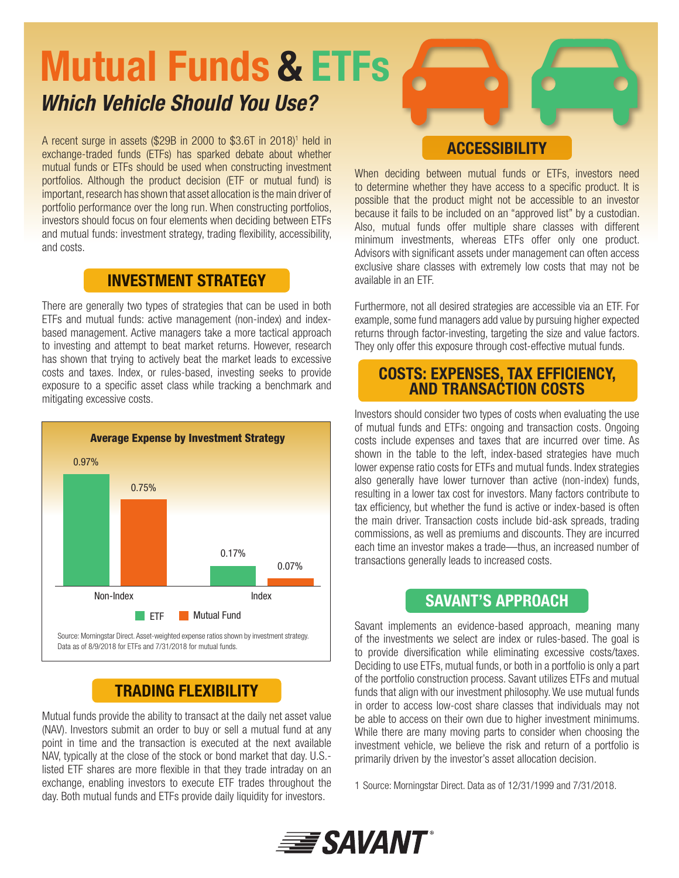# Mutual Funds & ETFs *Which Vehicle Should You Use?*

A recent surge in assets (\$29B in 2000 to \$3.6T in 2018)<sup>1</sup> held in exchange-traded funds (ETFs) has sparked debate about whether mutual funds or ETFs should be used when constructing investment portfolios. Although the product decision (ETF or mutual fund) is important, research has shown that asset allocation is the main driver of portfolio performance over the long run. When constructing portfolios, investors should focus on four elements when deciding between ETFs and mutual funds: investment strategy, trading flexibility, accessibility, and costs.

### INVESTMENT STRATEGY

There are generally two types of strategies that can be used in both ETFs and mutual funds: active management (non-index) and indexbased management. Active managers take a more tactical approach to investing and attempt to beat market returns. However, research has shown that trying to actively beat the market leads to excessive costs and taxes. Index, or rules-based, investing seeks to provide exposure to a specific asset class while tracking a benchmark and mitigating excessive costs.



## TRADING FLEXIBILITY

Mutual funds provide the ability to transact at the daily net asset value (NAV). Investors submit an order to buy or sell a mutual fund at any point in time and the transaction is executed at the next available NAV, typically at the close of the stock or bond market that day. U.S. listed ETF shares are more flexible in that they trade intraday on an exchange, enabling investors to execute ETF trades throughout the day. Both mutual funds and ETFs provide daily liquidity for investors.

#### **ACCESSIBILITY**

When deciding between mutual funds or ETFs, investors need to determine whether they have access to a specific product. It is possible that the product might not be accessible to an investor because it fails to be included on an "approved list" by a custodian. Also, mutual funds offer multiple share classes with different minimum investments, whereas ETFs offer only one product. Advisors with significant assets under management can often access exclusive share classes with extremely low costs that may not be available in an ETF.

Furthermore, not all desired strategies are accessible via an ETF. For example, some fund managers add value by pursuing higher expected returns through factor-investing, targeting the size and value factors. They only offer this exposure through cost-effective mutual funds.

#### COSTS: EXPENSES, TAX EFFICIENCY, AND TRANSACTION COSTS

Investors should consider two types of costs when evaluating the use of mutual funds and ETFs: ongoing and transaction costs. Ongoing costs include expenses and taxes that are incurred over time. As shown in the table to the left, index-based strategies have much lower expense ratio costs for ETFs and mutual funds. Index strategies also generally have lower turnover than active (non-index) funds, resulting in a lower tax cost for investors. Many factors contribute to tax efficiency, but whether the fund is active or index-based is often the main driver. Transaction costs include bid-ask spreads, trading commissions, as well as premiums and discounts. They are incurred each time an investor makes a trade—thus, an increased number of transactions generally leads to increased costs.

### SAVANT'S APPROACH

Savant implements an evidence-based approach, meaning many of the investments we select are index or rules-based. The goal is to provide diversification while eliminating excessive costs/taxes. Deciding to use ETFs, mutual funds, or both in a portfolio is only a part of the portfolio construction process. Savant utilizes ETFs and mutual funds that align with our investment philosophy. We use mutual funds in order to access low-cost share classes that individuals may not be able to access on their own due to higher investment minimums. While there are many moving parts to consider when choosing the investment vehicle, we believe the risk and return of a portfolio is primarily driven by the investor's asset allocation decision.

1 Source: Morningstar Direct. Data as of 12/31/1999 and 7/31/2018.